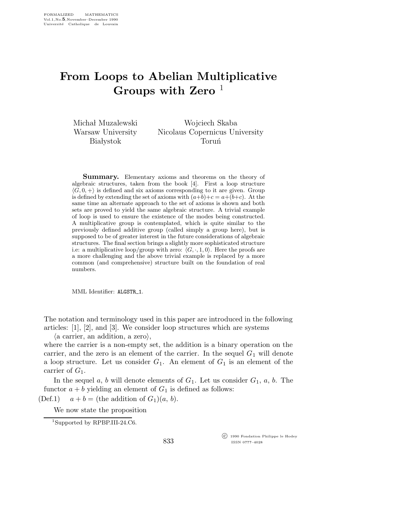## From Loops to Abelian Multiplicative Groups with Zero  $<sup>1</sup>$ </sup>

Michał Muzalewski Warsaw University **Białystok** 

Wojciech Skaba Nicolaus Copernicus University **Torun**<sup>1</sup>

Summary. Elementary axioms and theorems on the theory of algebraic structures, taken from the book [4]. First a loop structure  $\langle G, 0, +\rangle$  is defined and six axioms corresponding to it are given. Group is defined by extending the set of axioms with  $(a+b)+c = a+(b+c)$ . At the same time an alternate approach to the set of axioms is shown and both sets are proved to yield the same algebraic structure. A trivial example of loop is used to ensure the existence of the modes being constructed. A multiplicative group is contemplated, which is quite similar to the previously defined additive group (called simply a group here), but is supposed to be of greater interest in the future considerations of algebraic structures. The final section brings a slightly more sophisticated structure i.e: a multiplicative loop/group with zero:  $\langle G, \cdot, 1, 0 \rangle$ . Here the proofs are a more challenging and the above trivial example is replaced by a more common (and comprehensive) structure built on the foundation of real numbers.

MML Identifier: ALGSTR 1.

The notation and terminology used in this paper are introduced in the following articles: [1], [2], and [3]. We consider loop structures which are systems  $\langle a \text{ carrier, an addition, a zero} \rangle$ ,

where the carrier is a non-empty set, the addition is a binary operation on the carrier, and the zero is an element of the carrier. In the sequel  $G_1$  will denote a loop structure. Let us consider  $G_1$ . An element of  $G_1$  is an element of the carrier of  $G_1$ .

In the sequel a, b will denote elements of  $G_1$ . Let us consider  $G_1$ , a, b. The functor  $a + b$  yielding an element of  $G_1$  is defined as follows:

(Def.1)  $a + b =$  (the addition of  $G_1(a, b)$ .

We now state the proposition

<sup>1</sup>Supported by RPBP.III-24.C6.

 c 1990 Fondation Philippe le Hodey ISSN 0777–4028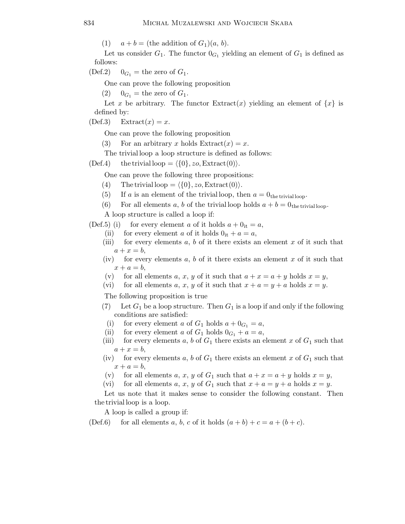(1)  $a + b =$  (the addition of  $G_1$ )(a, b).

Let us consider  $G_1$ . The functor  $0_{G_1}$  yielding an element of  $G_1$  is defined as follows:

(Def.2)  $0_{G_1}$  = the zero of  $G_1$ .

One can prove the following proposition

(2)  $0_{G_1}$  = the zero of  $G_1$ .

Let x be arbitrary. The functor  $Extract(x)$  yielding an element of  $\{x\}$  is defined by:

 $(Def.3)$  Extract $(x) = x$ .

One can prove the following proposition

- (3) For an arbitrary x holds  $\text{Extract}(x)=x$ .
- The trivialloop a loop structure is defined as follows:

(Def.4) the trivial loop =  $\langle \{0\}, zo, \text{Extract}(0)\rangle$ .

One can prove the following three propositions:

- (4) The trivial loop =  $\langle \{0\}, z_0, \text{Extract}(0)\rangle$ .
- (5) If a is an element of the trivial loop, then  $a = 0$ <sub>the trivial loop</sub>.
- (6) For all elements a, b of the trivial loop holds  $a + b = 0$ <sub>the trivial loop</sub>.

A loop structure is called a loop if:

(Def.5) (i) for every element a of it holds  $a + 0$ <sub>it</sub> = a,

- (ii) for every element a of it holds  $0_{it} + a = a$ ,
- (iii) for every elements  $a, b$  of it there exists an element x of it such that  $a + x = b$ ,
- (iv) for every elements  $a, b$  of it there exists an element x of it such that  $x + a = b$ ,
- (v) for all elements a, x, y of it such that  $a + x = a + y$  holds  $x = y$ ,
- (vi) for all elements a, x, y of it such that  $x + a = y + a$  holds  $x = y$ .

The following proposition is true

- (7) Let  $G_1$  be a loop structure. Then  $G_1$  is a loop if and only if the following conditions are satisfied:
	- (i) for every element a of  $G_1$  holds  $a + 0_{G_1} = a$ ,
- (ii) for every element a of  $G_1$  holds  $0_{G_1} + a = a$ ,
- (iii) for every elements a, b of  $G_1$  there exists an element x of  $G_1$  such that  $a + x = b$ ,
- (iv) for every elements a, b of  $G_1$  there exists an element x of  $G_1$  such that  $x + a = b$ ,
- (v) for all elements a, x, y of  $G_1$  such that  $a + x = a + y$  holds  $x = y$ ,
- (vi) for all elements a, x, y of  $G_1$  such that  $x + a = y + a$  holds  $x = y$ .

Let us note that it makes sense to consider the following constant. Then thetrivialloop is a loop.

A loop is called a group if:

(Def.6) for all elements a, b, c of it holds  $(a + b) + c = a + (b + c)$ .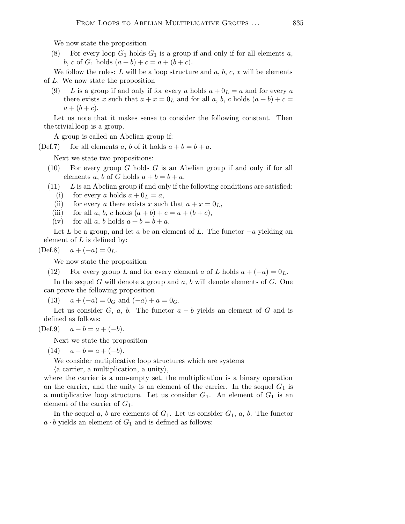We now state the proposition

(8) For every loop  $G_1$  holds  $G_1$  is a group if and only if for all elements a, b, c of  $G_1$  holds  $(a + b) + c = a + (b + c)$ .

We follow the rules: L will be a loop structure and  $a, b, c, x$  will be elements of L. We now state the proposition

(9) L is a group if and only if for every a holds  $a + 0<sub>L</sub> = a$  and for every a there exists x such that  $a + x = 0_L$  and for all a, b, c holds  $(a + b) + c =$  $a + (b + c).$ 

Let us note that it makes sense to consider the following constant. Then thetrivialloop is a group.

A group is called an Abelian group if:

(Def.7) for all elements a, b of it holds  $a + b = b + a$ .

Next we state two propositions:

- $(10)$  For every group G holds G is an Abelian group if and only if for all elements a, b of G holds  $a + b = b + a$ .
- $(11)$  L is an Abelian group if and only if the following conditions are satisfied:
	- (i) for every a holds  $a + 0<sub>L</sub> = a$ ,
	- (ii) for every a there exists x such that  $a + x = 0_L$ ,
	- (iii) for all a, b, c holds  $(a + b) + c = a + (b + c)$ ,
	- (iv) for all a, b holds  $a + b = b + a$ .

Let L be a group, and let a be an element of L. The functor  $-a$  yielding an element of  $L$  is defined by:

(Def.8)  $a + (-a) = 0_L$ .

We now state the proposition

(12) For every group L and for every element a of L holds  $a + (-a) = 0<sub>L</sub>$ .

In the sequel G will denote a group and  $a, b$  will denote elements of  $G$ . One can prove the following proposition

(13)  $a + (-a) = 0_G$  and  $(-a) + a = 0_G$ .

Let us consider G, a, b. The functor  $a - b$  yields an element of G and is defined as follows:

(Def.9)  $a - b = a + (-b)$ .

Next we state the proposition

(14)  $a - b = a + (-b)$ .

We consider mutiplicative loop structures which are systems

 $\langle$  a carrier, a multiplication, a unity $\rangle$ ,

where the carrier is a non-empty set, the multiplication is a binary operation on the carrier, and the unity is an element of the carrier. In the sequel  $G_1$  is a mutiplicative loop structure. Let us consider  $G_1$ . An element of  $G_1$  is an element of the carrier of  $G_1$ .

In the sequel a, b are elements of  $G_1$ . Let us consider  $G_1$ , a, b. The functor  $a \cdot b$  yields an element of  $G_1$  and is defined as follows: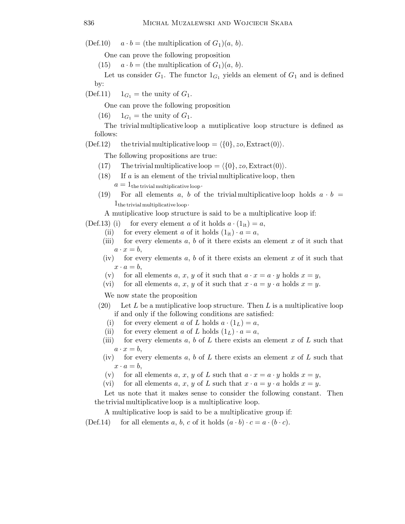(Def.10)  $a \cdot b =$  (the multiplication of  $G_1$ )(a, b).

One can prove the following proposition

(15)  $a \cdot b =$  (the multiplication of  $G_1(a, b)$ .

Let us consider  $G_1$ . The functor  $1_{G_1}$  yields an element of  $G_1$  and is defined by:

(Def.11)  $1_{G_1}$  = the unity of  $G_1$ .

One can prove the following proposition

(16)  $1_{G_1}$  = the unity of  $G_1$ .

The trivialmultiplicativeloop a mutiplicative loop structure is defined as follows:

(Def.12) the trivial multiplicative loop =  $\langle \{0\}, zo, \text{Extract}(0)\rangle$ .

The following propositions are true:

- (17) The trivial multiplicative loop =  $\langle \{0\}, zo, \text{Extract}(0)\rangle$ .
- $(18)$  If a is an element of the trivial multiplicative loop, then  $a = 1_{\text{the trivial multiplicative loop}}$ .
- (19) For all elements a, b of the trivial multiplicative loop holds  $a \cdot b =$  $1_{\text{the trivial multiplicative loop}}$ .

A mutiplicative loop structure is said to be a multiplicative loop if:

(Def.13) (i) for every element a of it holds  $a \cdot (1_{it}) = a$ ,

- (ii) for every element a of it holds  $(1_{it}) \cdot a = a$ ,
- (iii) for every elements a, b of it there exists an element x of it such that  $a \cdot x = b$ ,
- (iv) for every elements  $a, b$  of it there exists an element  $x$  of it such that  $x \cdot a = b$ ,
- (v) for all elements a, x, y of it such that  $a \cdot x = a \cdot y$  holds  $x = y$ ,
- (vi) for all elements a, x, y of it such that  $x \cdot a = y \cdot a$  holds  $x = y$ .

We now state the proposition

- (20) Let L be a multiplicative loop structure. Then L is a multiplicative loop if and only if the following conditions are satisfied:
	- (i) for every element a of L holds  $a \cdot (1_L) = a$ ,
	- (ii) for every element a of L holds  $(1_L) \cdot a = a$ ,
	- (iii) for every elements a, b of L there exists an element x of L such that  $a \cdot x = b$ ,
	- (iv) for every elements a, b of L there exists an element x of L such that  $x \cdot a = b$ ,
	- (v) for all elements a, x, y of L such that  $a \cdot x = a \cdot y$  holds  $x = y$ ,
	- (vi) for all elements a, x, y of L such that  $x \cdot a = y \cdot a$  holds  $x = y$ .

Let us note that it makes sense to consider the following constant. Then thetrivialmultiplicativeloop is a multiplicative loop.

A multiplicative loop is said to be a multiplicative group if:

(Def.14) for all elements a, b, c of it holds  $(a \cdot b) \cdot c = a \cdot (b \cdot c)$ .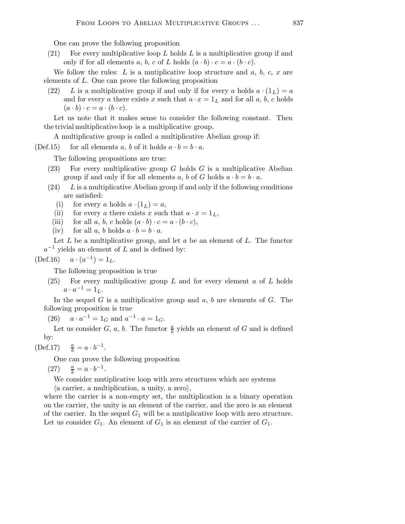One can prove the following proposition

(21) For every multiplicative loop L holds L is a multiplicative group if and only if for all elements a, b, c of L holds  $(a \cdot b) \cdot c = a \cdot (b \cdot c)$ .

We follow the rules:  $L$  is a mutiplicative loop structure and  $a, b, c, x$  are elements of L. One can prove the following proposition

(22) L is a multiplicative group if and only if for every a holds  $a \cdot (1_L) = a$ and for every a there exists x such that  $a \cdot x = 1_L$  and for all a, b, c holds  $(a \cdot b) \cdot c = a \cdot (b \cdot c).$ 

Let us note that it makes sense to consider the following constant. Then thetrivialmultiplicativeloop is a multiplicative group.

A multiplicative group is called a multiplicative Abelian group if:

(Def.15) for all elements a, b of it holds  $a \cdot b = b \cdot a$ .

The following propositions are true:

- (23) For every multiplicative group G holds  $G$  is a multiplicative Abelian group if and only if for all elements a, b of G holds  $a \cdot b = b \cdot a$ .
- $(24)$  L is a multiplicative Abelian group if and only if the following conditions are satisfied:
	- (i) for every a holds  $a \cdot (1_L) = a$ ,
	- (ii) for every a there exists x such that  $a \cdot x = 1_L$ ,
	- (iii) for all a, b, c holds  $(a \cdot b) \cdot c = a \cdot (b \cdot c)$ ,
	- (iv) for all a, b holds  $a \cdot b = b \cdot a$ .

Let  $L$  be a multiplicative group, and let  $a$  be an element of  $L$ . The functor  $a^{-1}$  yields an element of L and is defined by:

 $(Def.16)$  $^{-1}) = 1_L.$ 

The following proposition is true

(25) For every multiplicative group L and for every element  $a$  of L holds  $a \cdot a^{-1} = 1_L.$ 

In the sequel  $G$  is a multiplicative group and  $a, b$  are elements of  $G$ . The following proposition is true

(26)  $a \cdot a^{-1} = 1_G$  and  $a^{-1} \cdot a = 1_G$ .

Let us consider G, a, b. The functor  $\frac{a}{b}$  yields an element of G and is defined by:

(Def.17) 
$$
\frac{a}{b} = a \cdot b^{-1}
$$
.

One can prove the following proposition

 $(27)$  $\frac{a}{b} = a \cdot b^{-1}.$ 

We consider mutiplicative loop with zero structures which are systems  $\langle$  a carrier, a multiplication, a unity, a zero $\rangle$ ,

where the carrier is a non-empty set, the multiplication is a binary operation on the carrier, the unity is an element of the carrier, and the zero is an element of the carrier. In the sequel  $G_1$  will be a mutiplicative loop with zero structure. Let us consider  $G_1$ . An element of  $G_1$  is an element of the carrier of  $G_1$ .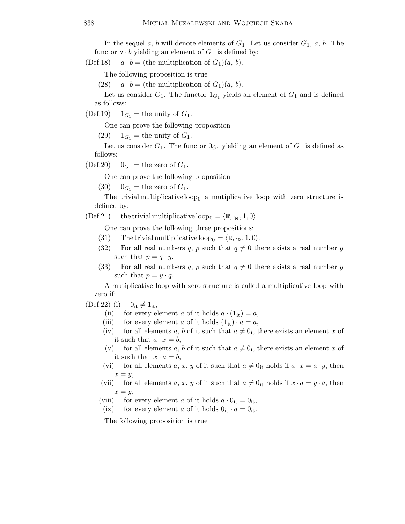In the sequel a, b will denote elements of  $G_1$ . Let us consider  $G_1$ , a, b. The functor  $a \cdot b$  yielding an element of  $G_1$  is defined by:

(Def.18)  $a \cdot b =$  (the multiplication of  $G_1(a, b)$ .

The following proposition is true

(28)  $a \cdot b =$  (the multiplication of  $G_1(a, b)$ .

Let us consider  $G_1$ . The functor  $1_{G_1}$  yields an element of  $G_1$  and is defined as follows:

(Def.19)  $1_{G_1}$  = the unity of  $G_1$ .

One can prove the following proposition

 $(29)$   $1_{G_1}$  = the unity of  $G_1$ .

Let us consider  $G_1$ . The functor  $0_{G_1}$  yielding an element of  $G_1$  is defined as follows:

(Def.20)  $0_{G_1}$  = the zero of  $G_1$ .

One can prove the following proposition

(30)  $0_{G_1}$  = the zero of  $G_1$ .

The trivial multiplicative loop<sub>0</sub> a mutiplicative loop with zero structure is defined by:

(Def.21) the trivial multiplicative loop<sub>0</sub> =  $\langle \mathbb{R}, \cdot_{\mathbb{R}} , 1, 0 \rangle$ .

One can prove the following three propositions:

- (31) The trivial multiplicative loop<sub>0</sub> =  $\langle \mathbb{R}, \cdot_{\mathbb{R}}, 1, 0 \rangle$ .
- (32) For all real numbers q, p such that  $q \neq 0$  there exists a real number y such that  $p = q \cdot y$ .
- (33) For all real numbers q, p such that  $q \neq 0$  there exists a real number y such that  $p = y \cdot q$ .

A mutiplicative loop with zero structure is called a multiplicative loop with zero if:

 $(\text{Def.22})$  (i)  $0_{it} \neq 1_{it}$ ,

- (ii) for every element a of it holds  $a \cdot (1_{it}) = a$ ,
- (iii) for every element a of it holds  $(1_{it}) \cdot a = a$ ,
- (iv) for all elements a, b of it such that  $a \neq 0$ <sub>it</sub> there exists an element x of it such that  $a \cdot x = b$ ,
- (v) for all elements a, b of it such that  $a \neq 0$ <sub>it</sub> there exists an element x of it such that  $x \cdot a = b$ ,
- (vi) for all elements a, x, y of it such that  $a \neq 0$ <sub>it</sub> holds if  $a \cdot x = a \cdot y$ , then  $x = y$ ,
- (vii) for all elements a, x, y of it such that  $a \neq 0$ <sub>it</sub> holds if  $x \cdot a = y \cdot a$ , then  $x = y$ ,
- (viii) for every element a of it holds  $a \cdot 0_{it} = 0_{it}$ ,
- (ix) for every element a of it holds  $0_{it} \cdot a = 0_{it}$ .

The following proposition is true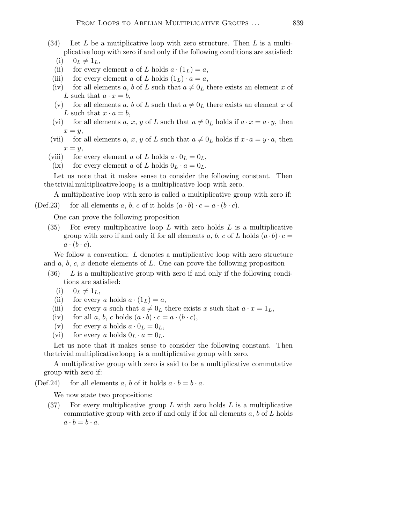(34) Let L be a multiplicative loop with zero structure. Then L is a multiplicative loop with zero if and only if the following conditions are satisfied:

$$
(i) \t 0_L \neq 1_L,
$$

- (ii) for every element a of L holds  $a \cdot (1_L) = a$ ,
- (iii) for every element a of L holds  $(1_L) \cdot a = a$ ,
- (iv) for all elements a, b of L such that  $a \neq 0_L$  there exists an element x of L such that  $a \cdot x = b$ ,
- (v) for all elements a, b of L such that  $a \neq 0_L$  there exists an element x of L such that  $x \cdot a = b$ ,
- (vi) for all elements a, x, y of L such that  $a \neq 0_L$  holds if  $a \cdot x = a \cdot y$ , then  $x = y$ ,
- (vii) for all elements a, x, y of L such that  $a \neq 0_L$  holds if  $x \cdot a = y \cdot a$ , then  $x = y$ ,
- (viii) for every element a of L holds  $a \cdot 0_L = 0_L$ ,
- (ix) for every element a of L holds  $0_L \cdot a = 0_L$ .

Let us note that it makes sense to consider the following constant. Then the trivial multiplicative loop<sub>0</sub> is a multiplicative loop with zero.

A multiplicative loop with zero is called a multiplicative group with zero if:

(Def.23) for all elements a, b, c of it holds  $(a \cdot b) \cdot c = a \cdot (b \cdot c)$ .

One can prove the following proposition

(35) For every multiplicative loop  $L$  with zero holds  $L$  is a multiplicative group with zero if and only if for all elements a, b, c of L holds  $(a \cdot b) \cdot c =$  $a \cdot (b \cdot c)$ .

We follow a convention: L denotes a mutiplicative loop with zero structure and  $a, b, c, x$  denote elements of L. One can prove the following proposition

- $(36)$  L is a multiplicative group with zero if and only if the following conditions are satisfied:
	- (i)  $0_L \neq 1_L$ ,
	- (ii) for every a holds  $a \cdot (1_L) = a$ ,
	- (iii) for every a such that  $a \neq 0_L$  there exists x such that  $a \cdot x = 1_L$ ,
	- (iv) for all a, b, c holds  $(a \cdot b) \cdot c = a \cdot (b \cdot c)$ ,
	- (v) for every a holds  $a \cdot 0_L = 0_L$ ,
	- (vi) for every a holds  $0_L \cdot a = 0_L$ .

Let us note that it makes sense to consider the following constant. Then the trivial multiplicative loop<sub>0</sub> is a multiplicative group with zero.

A multiplicative group with zero is said to be a multiplicative commutative group with zero if:

(Def.24) for all elements a, b of it holds  $a \cdot b = b \cdot a$ .

We now state two propositions:

(37) For every multiplicative group  $L$  with zero holds  $L$  is a multiplicative commutative group with zero if and only if for all elements  $a, b$  of  $L$  holds  $a \cdot b = b \cdot a$ .